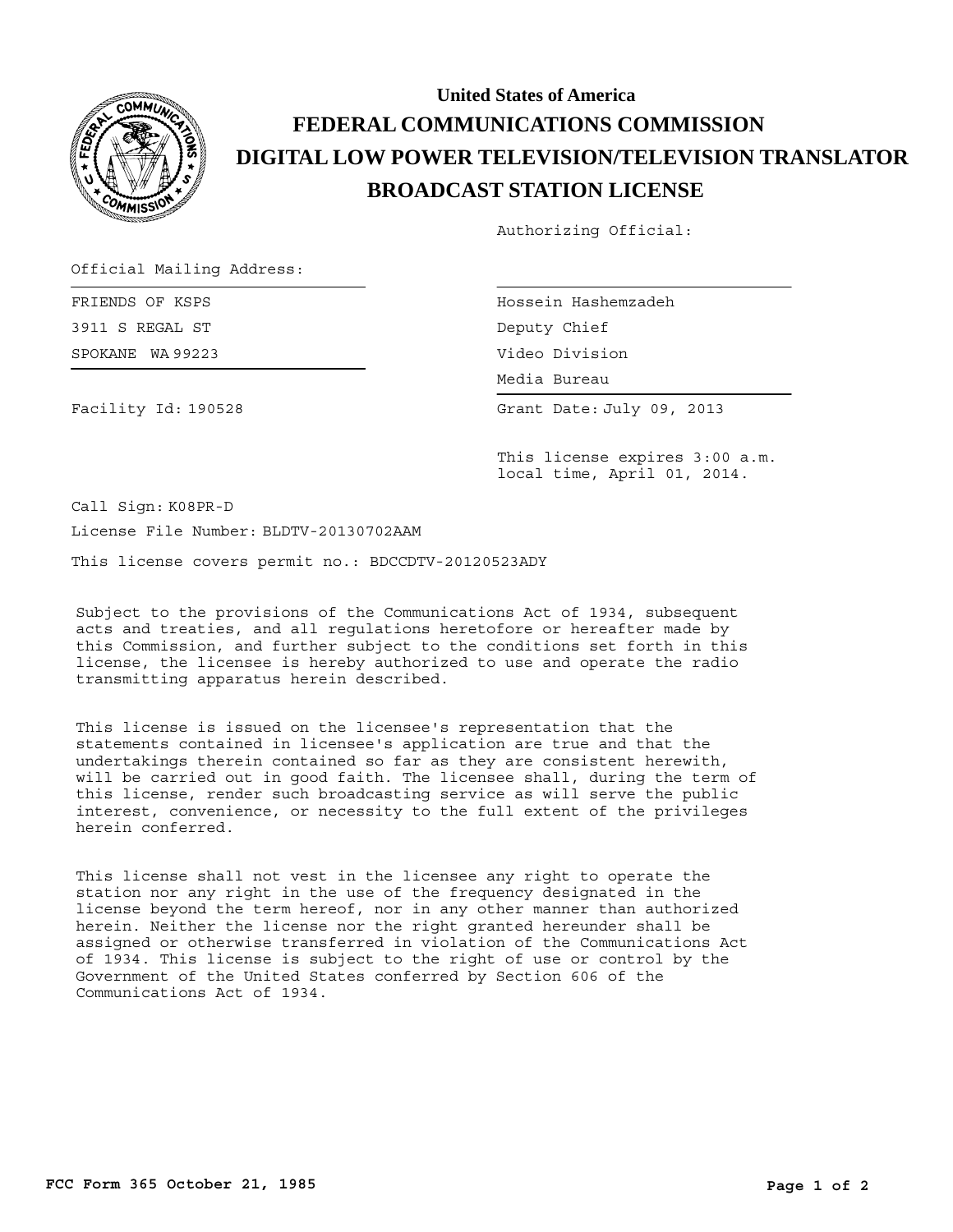

## **BROADCAST STATION LICENSE DIGITAL LOW POWER TELEVISION/TELEVISION TRANSLATOR FEDERAL COMMUNICATIONS COMMISSION United States of America**

Authorizing Official:

Official Mailing Address:

SPOKANE WA 99223 FRIENDS OF KSPS 3911 S REGAL ST

Facility Id: 190528

Hossein Hashemzadeh Deputy Chief Video Division

Media Bureau Media Bureau

Grant Date: July 09, 2013

This license expires 3:00 a.m. local time, April 01, 2014.

Call Sign: K08PR-D

License File Number: BLDTV-20130702AAM

This license covers permit no.: BDCCDTV-20120523ADY

Subject to the provisions of the Communications Act of 1934, subsequent acts and treaties, and all regulations heretofore or hereafter made by this Commission, and further subject to the conditions set forth in this license, the licensee is hereby authorized to use and operate the radio transmitting apparatus herein described.

This license is issued on the licensee's representation that the statements contained in licensee's application are true and that the undertakings therein contained so far as they are consistent herewith, will be carried out in good faith. The licensee shall, during the term of this license, render such broadcasting service as will serve the public interest, convenience, or necessity to the full extent of the privileges herein conferred.

This license shall not vest in the licensee any right to operate the station nor any right in the use of the frequency designated in the license beyond the term hereof, nor in any other manner than authorized herein. Neither the license nor the right granted hereunder shall be assigned or otherwise transferred in violation of the Communications Act of 1934. This license is subject to the right of use or control by the Government of the United States conferred by Section 606 of the Communications Act of 1934.